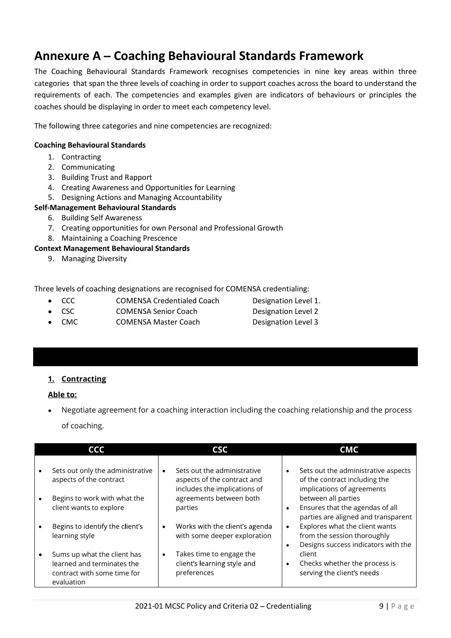# Annexure A – Coaching Behavioural Standards Framework

The Coaching Behavioural Standards Framework recognises competencies in nine key areas within three categories that span the three levels of coaching in order to support coaches across the board to understand the requirements of each. The competencies and examples given are indicators of behaviours or principles the coaches should be displaying in order to meet each competency level.

The following three categories and nine competencies are recognized:

### Coaching Behavioural Standards

- 1. Contracting
- 2. Communicating
- 3. Building Trust and Rapport
- 4. Creating Awareness and Opportunities for Learning
- 5. Designing Actions and Managing Accountability

### Self-Management Behavioural Standards

- 6. Building Self Awareness
- 7. Creating opportunities for own Personal and Professional Growth
- 8. Maintaining a Coaching Prescence

### Context Management Behavioural Standards

9. Managing Diversity

Three levels of coaching designations are recognised for COMENSA credentialing:

- CCC COMENSA Credentialed Coach Designation Level 1.  $\bullet$
- CSC COMENSA Senior Coach Designation Level 2  $\bullet$
- CMC COMENSA Master Coach Designation Level 3
- 

### 1. Contracting

### Able to:

Negotiate agreement for a coaching interaction including the coaching relationship and the process of coaching.

| <b>CCC</b><br>CMC<br><b>CSC</b><br>Sets out only the administrative<br>Sets out the administrative<br>Sets out the administrative aspects<br>$\bullet$<br>aspects of the contract<br>aspects of the contract and<br>of the contract including the<br>includes the implications of<br>implications of agreements<br>between all parties<br>Begins to work with what the<br>agreements between both<br>$\bullet$<br>Ensures that the agendas of all<br>client wants to explore<br>parties<br>$\bullet$<br>parties are aligned and transparent<br>Explores what the client wants<br>Begins to identify the client's<br>Works with the client's agenda<br>$\bullet$<br>$\bullet$<br>from the session thoroughly<br>with some deeper exploration<br>learning style<br>Designs success indicators with the<br>$\bullet$ |
|-------------------------------------------------------------------------------------------------------------------------------------------------------------------------------------------------------------------------------------------------------------------------------------------------------------------------------------------------------------------------------------------------------------------------------------------------------------------------------------------------------------------------------------------------------------------------------------------------------------------------------------------------------------------------------------------------------------------------------------------------------------------------------------------------------------------|
|                                                                                                                                                                                                                                                                                                                                                                                                                                                                                                                                                                                                                                                                                                                                                                                                                   |
|                                                                                                                                                                                                                                                                                                                                                                                                                                                                                                                                                                                                                                                                                                                                                                                                                   |
|                                                                                                                                                                                                                                                                                                                                                                                                                                                                                                                                                                                                                                                                                                                                                                                                                   |
|                                                                                                                                                                                                                                                                                                                                                                                                                                                                                                                                                                                                                                                                                                                                                                                                                   |
| Takes time to engage the<br>client<br>Sums up what the client has<br>$\bullet$<br>client's learning style and<br>learned and terminates the<br>Checks whether the process is<br>$\bullet$<br>serving the client's needs<br>contract with some time for<br>preferences<br>evaluation                                                                                                                                                                                                                                                                                                                                                                                                                                                                                                                               |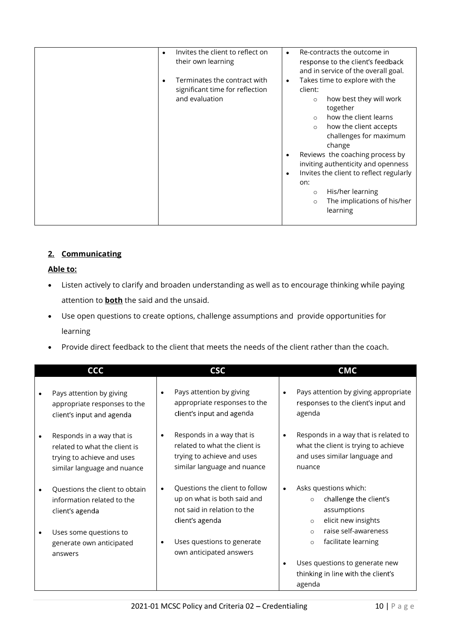# 2. Communicating

- Listen actively to clarify and broaden understanding as well as to encourage thinking while paying attention to **both** the said and the unsaid.
- Use open questions to create options, challenge assumptions and provide opportunities for learning
- Provide direct feedback to the client that meets the needs of the client rather than the coach.

| <b>CCC</b>                                                                                                              |           | <b>CSC</b>                                                                                                              |                     | <b>CMC</b>                                                                                                    |
|-------------------------------------------------------------------------------------------------------------------------|-----------|-------------------------------------------------------------------------------------------------------------------------|---------------------|---------------------------------------------------------------------------------------------------------------|
| Pays attention by giving<br>appropriate responses to the<br>client's input and agenda                                   | $\bullet$ | Pays attention by giving<br>appropriate responses to the<br>client's input and agenda                                   | $\bullet$<br>agenda | Pays attention by giving appropriate<br>responses to the client's input and                                   |
| Responds in a way that is<br>related to what the client is<br>trying to achieve and uses<br>similar language and nuance | $\bullet$ | Responds in a way that is<br>related to what the client is<br>trying to achieve and uses<br>similar language and nuance | nuance              | Responds in a way that is related to<br>what the client is trying to achieve<br>and uses similar language and |
| Questions the client to obtain<br>information related to the<br>client's agenda                                         |           | Questions the client to follow<br>up on what is both said and<br>not said in relation to the<br>client's agenda         |                     | Asks questions which:<br>challenge the client's<br>$\circ$<br>assumptions<br>elicit new insights<br>$\circ$   |
| Uses some questions to<br>generate own anticipated<br>answers                                                           | $\bullet$ | Uses questions to generate<br>own anticipated answers                                                                   |                     | raise self-awareness<br>$\circ$<br>facilitate learning<br>$\circ$                                             |
|                                                                                                                         |           |                                                                                                                         | $\bullet$<br>agenda | Uses questions to generate new<br>thinking in line with the client's                                          |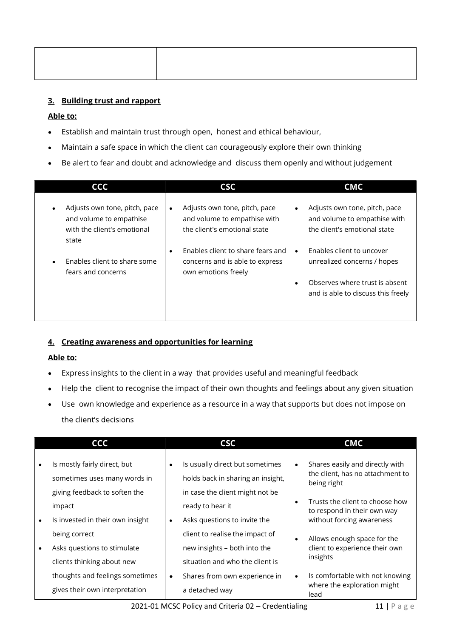# 3. Building trust and rapport

# Able to:

- Establish and maintain trust through open, honest and ethical behaviour,
- Maintain a safe space in which the client can courageously explore their own thinking
- Be alert to fear and doubt and acknowledge and discuss them openly and without judgement  $\bullet$

| <b>CCC</b>                                                                                       | <b>CSC</b>                                                                                    | <b>CMC</b>                                                                                                 |
|--------------------------------------------------------------------------------------------------|-----------------------------------------------------------------------------------------------|------------------------------------------------------------------------------------------------------------|
| Adjusts own tone, pitch, pace<br>and volume to empathise<br>with the client's emotional<br>state | Adjusts own tone, pitch, pace<br>and volume to empathise with<br>the client's emotional state | Adjusts own tone, pitch, pace<br>$\bullet$<br>and volume to empathise with<br>the client's emotional state |
| Enables client to share some<br>fears and concerns                                               | Enables client to share fears and<br>concerns and is able to express<br>own emotions freely   | Enables client to uncover<br>unrealized concerns / hopes                                                   |
|                                                                                                  |                                                                                               | Observes where trust is absent<br>and is able to discuss this freely                                       |

### 4. Creating awareness and opportunities for learning

- Express insights to the client in a way that provides useful and meaningful feedback  $\bullet$
- Help the client to recognise the impact of their own thoughts and feelings about any given situation
- Use own knowledge and experience as a resource in a way that supports but does not impose on  $\bullet$

| CCC<br><b>CMC</b><br><b>CSC</b><br>Is mostly fairly direct, but<br>Is usually direct but sometimes<br>Shares easily and directly with<br>$\bullet$<br>$\bullet$<br>the client, has no attachment to<br>holds back in sharing an insight,<br>sometimes uses many words in<br>being right<br>giving feedback to soften the<br>in case the client might not be<br>Trusts the client to choose how<br>$\bullet$<br>ready to hear it<br>impact<br>to respond in their own way<br>Is invested in their own insight<br>Asks questions to invite the<br>without forcing awareness<br>$\bullet$<br>client to realise the impact of<br>being correct<br>Allows enough space for the<br>$\bullet$<br>new insights - both into the<br>client to experience their own<br>Asks questions to stimulate<br>$\bullet$<br>insights<br>situation and who the client is<br>clients thinking about new<br>thoughts and feelings sometimes<br>Is comfortable with not knowing<br>Shares from own experience in<br>$\bullet$<br>$\bullet$<br>where the exploration might<br>gives their own interpretation<br>a detached way<br>lead |
|---------------------------------------------------------------------------------------------------------------------------------------------------------------------------------------------------------------------------------------------------------------------------------------------------------------------------------------------------------------------------------------------------------------------------------------------------------------------------------------------------------------------------------------------------------------------------------------------------------------------------------------------------------------------------------------------------------------------------------------------------------------------------------------------------------------------------------------------------------------------------------------------------------------------------------------------------------------------------------------------------------------------------------------------------------------------------------------------------------------|
|                                                                                                                                                                                                                                                                                                                                                                                                                                                                                                                                                                                                                                                                                                                                                                                                                                                                                                                                                                                                                                                                                                               |
|                                                                                                                                                                                                                                                                                                                                                                                                                                                                                                                                                                                                                                                                                                                                                                                                                                                                                                                                                                                                                                                                                                               |
|                                                                                                                                                                                                                                                                                                                                                                                                                                                                                                                                                                                                                                                                                                                                                                                                                                                                                                                                                                                                                                                                                                               |
|                                                                                                                                                                                                                                                                                                                                                                                                                                                                                                                                                                                                                                                                                                                                                                                                                                                                                                                                                                                                                                                                                                               |
|                                                                                                                                                                                                                                                                                                                                                                                                                                                                                                                                                                                                                                                                                                                                                                                                                                                                                                                                                                                                                                                                                                               |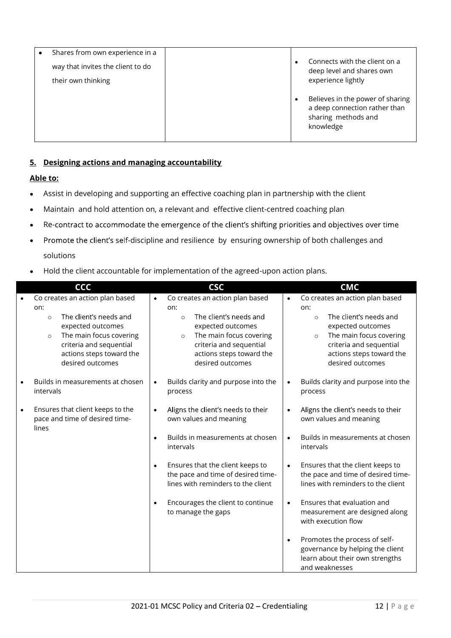| Shares from own experience in a<br>$\bullet$<br>way that invites the client to do<br>their own thinking | Connects with the client on a<br>$\bullet$<br>deep level and shares own<br>experience lightly<br>Believes in the power of sharing<br>$\bullet$<br>a deep connection rather than |
|---------------------------------------------------------------------------------------------------------|---------------------------------------------------------------------------------------------------------------------------------------------------------------------------------|
|                                                                                                         | sharing methods and<br>knowledge                                                                                                                                                |
| 5. Designing actions and managing accountability                                                        |                                                                                                                                                                                 |
| <u> Able to:</u>                                                                                        |                                                                                                                                                                                 |
| ٠                                                                                                       | Assist in developing and supporting an effective coaching plan in partnership with the client                                                                                   |
| $\bullet$                                                                                               | Maintain and hold attention on, a relevant and effective client-centred coaching plan                                                                                           |
|                                                                                                         |                                                                                                                                                                                 |

- Assist in developing and supporting an effective coaching plan in partnership with the client
- Maintain and hold attention on, a relevant and effective client-centred coaching plan
- Re-contract to accommodate the emergence of the client's shifting priorities and objectives over time
- Promote the client's self-discipline and resilience by ensuring ownership of both challenges and  $\bullet$ solutions
- Hold the client accountable for implementation of the agreed-upon action plans.  $\bullet$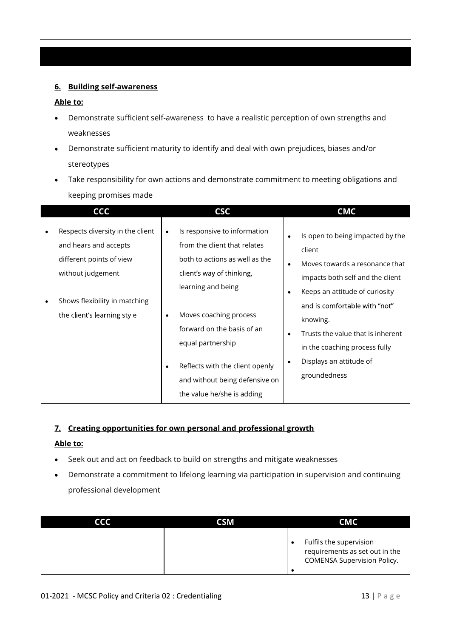### 6. Building self-awareness

### Able to:

- Demonstrate sufficient self-awareness to have a realistic perception of own strengths and weaknesses
- Demonstrate sufficient maturity to identify and deal with own prejudices, biases and/or stereotypes
- Take responsibility for own actions and demonstrate commitment to meeting obligations and keeping promises made

| Respects diversity in the client<br>Is responsive to information<br>$\bullet$                                                                                                                                                                                                                                                                                                                                                                                                                                                                                                                                                                                                                                                                                   | CCC | <b>CSC</b> | <b>CMC</b>                       |  |
|-----------------------------------------------------------------------------------------------------------------------------------------------------------------------------------------------------------------------------------------------------------------------------------------------------------------------------------------------------------------------------------------------------------------------------------------------------------------------------------------------------------------------------------------------------------------------------------------------------------------------------------------------------------------------------------------------------------------------------------------------------------------|-----|------------|----------------------------------|--|
| from the client that relates<br>and hears and accepts<br>client<br>both to actions as well as the<br>different points of view<br>Moves towards a resonance that<br>$\bullet$<br>without judgement<br>client's way of thinking,<br>impacts both self and the client<br>learning and being<br>Keeps an attitude of curiosity<br>Shows flexibility in matching<br>and is comfortable with "not"<br>the client's learning style<br>Moves coaching process<br>٠<br>knowing.<br>forward on the basis of an<br>Trusts the value that is inherent<br>$\bullet$<br>equal partnership<br>in the coaching process fully<br>Displays an attitude of<br>Reflects with the client openly<br>٠<br>groundedness<br>and without being defensive on<br>the value he/she is adding |     |            | Is open to being impacted by the |  |

# 7. Creating opportunities for own personal and professional growth

- Seek out and act on feedback to build on strengths and mitigate weaknesses
- Demonstrate a commitment to lifelong learning via participation in supervision and continuing professional development

| Able to:                 |                                                                            |                                                                                                              |
|--------------------------|----------------------------------------------------------------------------|--------------------------------------------------------------------------------------------------------------|
|                          | Seek out and act on feedback to build on strengths and mitigate weaknesses |                                                                                                              |
| professional development |                                                                            | Demonstrate a commitment to lifelong learning via participation in supervision and continuing                |
| <b>CCC</b>               | <b>CSM</b>                                                                 | <b>CMC</b>                                                                                                   |
|                          |                                                                            | Fulfils the supervision<br>$\bullet$<br>requirements as set out in the<br><b>COMENSA Supervision Policy.</b> |
|                          | 01-2021 - MCSC Policy and Criteria 02 : Credentialing                      | $13   P \nexists g e$                                                                                        |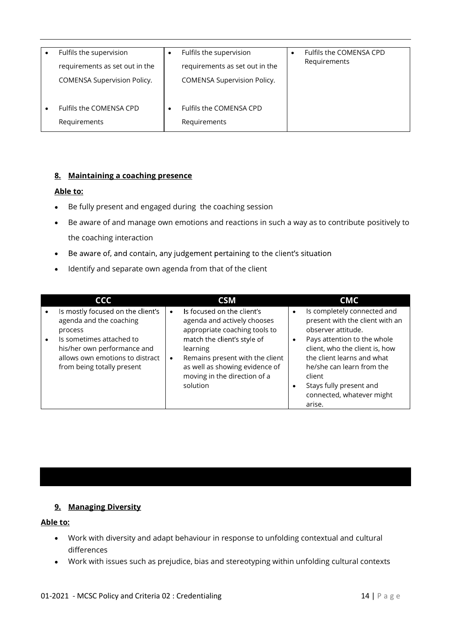| Fulfils the supervision<br>requirements as set out in the<br>COMENSA Supervision Policy. |   | Fulfils the supervision<br>requirements as set out in the<br>COMENSA Supervision Policy. | Fulfils the COMENSA CPD<br>Requirements |  |
|------------------------------------------------------------------------------------------|---|------------------------------------------------------------------------------------------|-----------------------------------------|--|
| Fulfils the COMENSA CPD<br>Requirements                                                  | ٠ | Fulfils the COMENSA CPD<br>Requirements                                                  |                                         |  |

## 8. Maintaining a coaching presence

### Able to:

- Be fully present and engaged during the coaching session  $\bullet$
- Be aware of and manage own emotions and reactions in such a way as to contribute positively to the coaching interaction
- Be aware of, and contain, any judgement pertaining to the client's situation
- Identify and separate own agenda from that of the client

| CMC<br><b>CCC</b><br><b>CSM</b><br>Is mostly focused on the client's<br>Is focused on the client's<br>Is completely connected and<br>agenda and the coaching<br>agenda and actively chooses<br>appropriate coaching tools to<br>observer attitude.<br>process<br>match the client's style of<br>Pays attention to the whole<br>Is sometimes attached to<br>client, who the client is, how<br>his/her own performance and<br>learning<br>allows own emotions to distract<br>Remains present with the client<br>the client learns and what<br>as well as showing evidence of<br>he/she can learn from the<br>from being totally present<br>moving in the direction of a<br>client |  |          |                                 |
|---------------------------------------------------------------------------------------------------------------------------------------------------------------------------------------------------------------------------------------------------------------------------------------------------------------------------------------------------------------------------------------------------------------------------------------------------------------------------------------------------------------------------------------------------------------------------------------------------------------------------------------------------------------------------------|--|----------|---------------------------------|
|                                                                                                                                                                                                                                                                                                                                                                                                                                                                                                                                                                                                                                                                                 |  |          |                                 |
|                                                                                                                                                                                                                                                                                                                                                                                                                                                                                                                                                                                                                                                                                 |  |          | present with the client with an |
| connected, whatever might<br>arise.                                                                                                                                                                                                                                                                                                                                                                                                                                                                                                                                                                                                                                             |  | solution | Stays fully present and         |

### 9. Managing Diversity

- **9. Managing Diversity<br>
4ble to:**<br>
 Work with diversity and adapt behaviour in response to unfolding contextual and cultural<br>
differences<br>
 Work with issues such as prejudice, bias and stereotyping within unfolding cultu Work with diversity and adapt behaviour in response to unfolding contextual and cultural differences
	- Work with issues such as prejudice, bias and stereotyping within unfolding cultural contexts